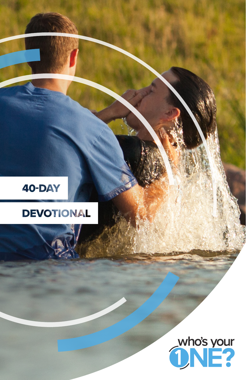

# **DEVOTIONAL**

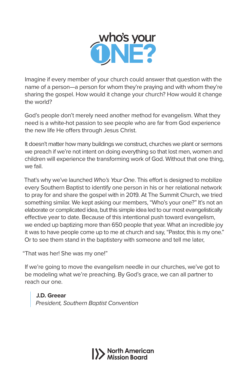

Imagine if every member of your church could answer that question with the name of a person—a person for whom they're praying and with whom they're sharing the gospel. How would it change your church? How would it change the world?

God's people don't merely need another method for evangelism. What they need is a white-hot passion to see people who are far from God experience the new life He offers through Jesus Christ.

It doesn't matter how many buildings we construct, churches we plant or sermons we preach if we're not intent on doing everything so that lost men, women and children will experience the transforming work of God. Without that one thing, we fail.

That's why we've launched *Who's Your One*. This effort is designed to mobilize every Southern Baptist to identify one person in his or her relational network to pray for and share the gospel with in 2019. At The Summit Church, we tried something similar. We kept asking our members, "Who's your one?" It's not an elaborate or complicated idea, but this simple idea led to our most evangelistically effective year to date. Because of this intentional push toward evangelism, we ended up baptizing more than 650 people that year. What an incredible joy it was to have people come up to me at church and say, "Pastor, this is my one." Or to see them stand in the baptistery with someone and tell me later,

"That was her! She was my one!"

If we're going to move the evangelism needle in our churches, we've got to be modeling what we're preaching. By God's grace, we can all partner to reach our one.

**J.D. Greear** *President, Southern Baptist Convention*

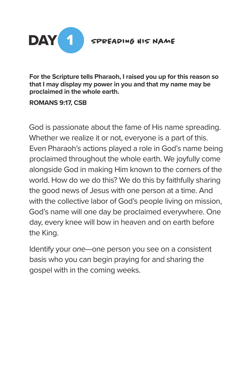

## **DAY** 1 SPREADING HIS NAME

**For the Scripture tells Pharaoh, I raised you up for this reason so that I may display my power in you and that my name may be proclaimed in the whole earth.** 

#### **ROMANS 9:17, CSB**

God is passionate about the fame of His name spreading. Whether we realize it or not, everyone is a part of this. Even Pharaoh's actions played a role in God's name being proclaimed throughout the whole earth. We joyfully come alongside God in making Him known to the corners of the world. How do we do this? We do this by faithfully sharing the good news of Jesus with one person at a time. And with the collective labor of God's people living on mission, God's name will one day be proclaimed everywhere. One day, every knee will bow in heaven and on earth before the King.

Identify your *one*—one person you see on a consistent basis who you can begin praying for and sharing the gospel with in the coming weeks.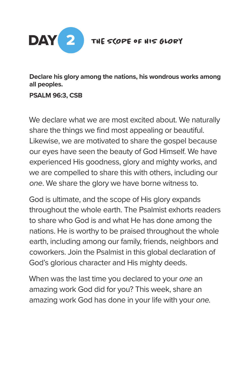

DAY 2 **THe SCOPE oF HIS GLOry**

**Declare his glory among the nations, his wondrous works among all peoples.** 

**PSALM 96:3, CSB**

We declare what we are most excited about. We naturally share the things we find most appealing or beautiful. Likewise, we are motivated to share the gospel because our eyes have seen the beauty of God Himself. We have experienced His goodness, glory and mighty works, and we are compelled to share this with others, including our *one*. We share the glory we have borne witness to.

God is ultimate, and the scope of His glory expands throughout the whole earth. The Psalmist exhorts readers to share who God is and what He has done among the nations. He is worthy to be praised throughout the whole earth, including among our family, friends, neighbors and coworkers. Join the Psalmist in this global declaration of God's glorious character and His mighty deeds.

When was the last time you declared to your *one* an amazing work God did for you? This week, share an amazing work God has done in your life with your *one.*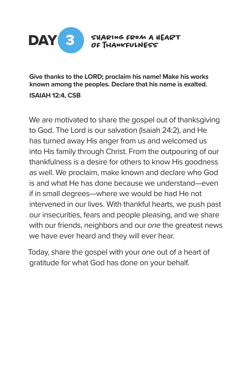

DAY **SHarINg From A HeART** 3 **OF thANKFULnEss**

**Give thanks to the LORD; proclaim his name! Make his works known among the peoples. Declare that his name is exalted. ISAIAH 12:4, CSB**

We are motivated to share the gospel out of thanksgiving to God. The Lord is our salvation (Isaiah 24:2), and He has turned away His anger from us and welcomed us into His family through Christ. From the outpouring of our thankfulness is a desire for others to know His goodness as well. We proclaim, make known and declare who God is and what He has done because we understand—even if in small degrees—where we would be had He not intervened in our lives. With thankful hearts, we push past our insecurities, fears and people pleasing, and we share with our friends, neighbors and our *one* the greatest news we have ever heard and they will ever hear.

Today, share the gospel with your *one* out of a heart of gratitude for what God has done on your behalf.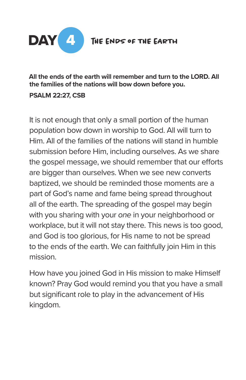

## **DAY** 4 THE ENDS OF THE EARTH

**All the ends of the earth will remember and turn to the LORD. All the families of the nations will bow down before you.** 

#### **PSALM 22:27, CSB**

It is not enough that only a small portion of the human population bow down in worship to God. All will turn to Him. All of the families of the nations will stand in humble submission before Him, including ourselves. As we share the gospel message, we should remember that our efforts are bigger than ourselves. When we see new converts baptized, we should be reminded those moments are a part of God's name and fame being spread throughout all of the earth. The spreading of the gospel may begin with you sharing with your *one* in your neighborhood or workplace, but it will not stay there. This news is too good, and God is too glorious, for His name to not be spread to the ends of the earth. We can faithfully join Him in this mission.

How have you joined God in His mission to make Himself known? Pray God would remind you that you have a small but significant role to play in the advancement of His kingdom.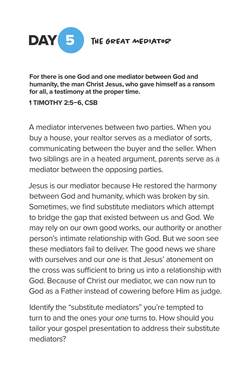

**For there is one God and one mediator between God and humanity, the man Christ Jesus, who gave himself as a ransom for all, a testimony at the proper time.** 

### **1 TIMOTHY 2:5–6, CSB**

A mediator intervenes between two parties. When you buy a house, your realtor serves as a mediator of sorts, communicating between the buyer and the seller. When two siblings are in a heated argument, parents serve as a mediator between the opposing parties.

Jesus is our mediator because He restored the harmony between God and humanity, which was broken by sin. Sometimes, we find substitute mediators which attempt to bridge the gap that existed between us and God. We may rely on our own good works, our authority or another person's intimate relationship with God. But we soon see these mediators fail to deliver. The good news we share with ourselves and our *one* is that Jesus' atonement on the cross was sufficient to bring us into a relationship with God. Because of Christ our mediator, we can now run to God as a Father instead of cowering before Him as judge.

Identify the "substitute mediators" you're tempted to turn to and the ones your *one* turns to. How should you tailor your gospel presentation to address their substitute mediators?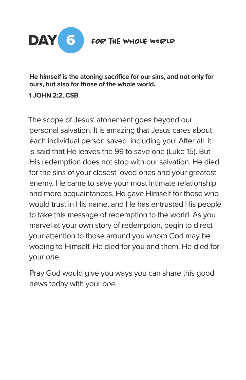

**He himself is the atoning sacrifice for our sins, and not only for ours, but also for those of the whole world.** 

### **1 JOHN 2:2, CSB**

The scope of Jesus' atonement goes beyond our personal salvation. It is amazing that Jesus cares about each individual person saved, including you! After all, it is said that He leaves the 99 to save one (Luke 15). But His redemption does not stop with our salvation. He died for the sins of your closest loved ones and your greatest enemy. He came to save your most intimate relationship and mere acquaintances. He gave Himself for those who would trust in His name, and He has entrusted His people to take this message of redemption to the world. As you marvel at your own story of redemption, begin to direct your attention to those around you whom God may be wooing to Himself. He died for you and them. He died for your *one*.

Pray God would give you ways you can share this good news today with your *one.*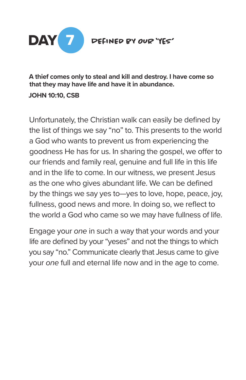

**A thief comes only to steal and kill and destroy. I have come so that they may have life and have it in abundance.** 

### **JOHN 10:10, CSB**

Unfortunately, the Christian walk can easily be defined by the list of things we say "no" to. This presents to the world a God who wants to prevent us from experiencing the goodness He has for us. In sharing the gospel, we offer to our friends and family real, genuine and full life in this life and in the life to come. In our witness, we present Jesus as the one who gives abundant life. We can be defined by the things we say yes to—yes to love, hope, peace, joy, fullness, good news and more. In doing so, we reflect to the world a God who came so we may have fullness of life.

Engage your *one* in such a way that your words and your life are defined by your "yeses" and not the things to which you say "no." Communicate clearly that Jesus came to give your *one* full and eternal life now and in the age to come.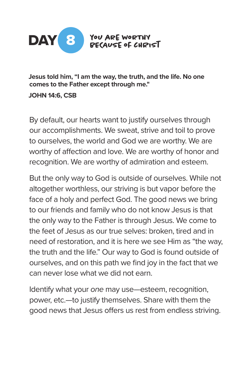

**Jesus told him, "I am the way, the truth, and the life. No one comes to the Father except through me."** 

#### **JOHN 14:6, CSB**

By default, our hearts want to justify ourselves through our accomplishments. We sweat, strive and toil to prove to ourselves, the world and God we are worthy. We are worthy of affection and love. We are worthy of honor and recognition. We are worthy of admiration and esteem.

But the only way to God is outside of ourselves. While not altogether worthless, our striving is but vapor before the face of a holy and perfect God. The good news we bring to our friends and family who do not know Jesus is that the only way to the Father is through Jesus. We come to the feet of Jesus as our true selves: broken, tired and in need of restoration, and it is here we see Him as "the way, the truth and the life." Our way to God is found outside of ourselves, and on this path we find joy in the fact that we can never lose what we did not earn.

Identify what your *one* may use—esteem, recognition, power, etc.—to justify themselves. Share with them the good news that Jesus offers us rest from endless striving.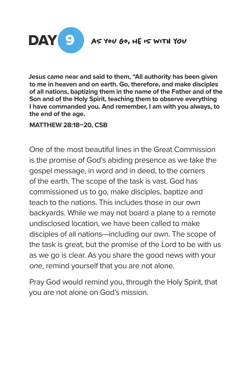

DAY 9 **as You Go, he is wiTH yOu**

**Jesus came near and said to them, "All authority has been given to me in heaven and on earth. Go, therefore, and make disciples of all nations, baptizing them in the name of the Father and of the Son and of the Holy Spirit, teaching them to observe everything I have commanded you. And remember, I am with you always, to the end of the age.** 

#### **MATTHEW 28:18–20, CSB**

One of the most beautiful lines in the Great Commission is the promise of God's abiding presence as we take the gospel message, in word and in deed, to the corners of the earth. The scope of the task is vast. God has commissioned us to go, make disciples, baptize and teach to the nations. This includes those in our own backyards. While we may not board a plane to a remote undisclosed location, we have been called to make disciples of all nations—including our own. The scope of the task is great, but the promise of the Lord to be with us as we go is clear. As you share the good news with your *one*, remind yourself that you are not alone.

Pray God would remind you, through the Holy Spirit, that you are not alone on God's mission.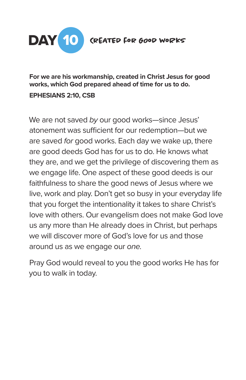

**For we are his workmanship, created in Christ Jesus for good works, which God prepared ahead of time for us to do.** 

### **EPHESIANS 2:10, CSB**

We are not saved *by* our good works—since Jesus' atonement was sufficient for our redemption—but we are saved *for* good works. Each day we wake up, there are good deeds God has for us to do. He knows what they are, and we get the privilege of discovering them as we engage life. One aspect of these good deeds is our faithfulness to share the good news of Jesus where we live, work and play. Don't get so busy in your everyday life that you forget the intentionality it takes to share Christ's love with others. Our evangelism does not make God love us any more than He already does in Christ, but perhaps we will discover more of God's love for us and those around us as we engage our *one.*

Pray God would reveal to you the good works He has for you to walk in today.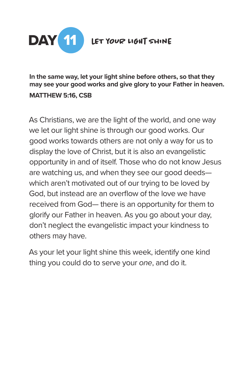

**In the same way, let your light shine before others, so that they may see your good works and give glory to your Father in heaven. MATTHEW 5:16, CSB**

As Christians, we are the light of the world, and one way we let our light shine is through our good works. Our good works towards others are not only a way for us to display the love of Christ, but it is also an evangelistic opportunity in and of itself. Those who do not know Jesus are watching us, and when they see our good deeds which aren't motivated out of our trying to be loved by God, but instead are an overflow of the love we have received from God— there is an opportunity for them to glorify our Father in heaven. As you go about your day, don't neglect the evangelistic impact your kindness to others may have.

As your let your light shine this week, identify one kind thing you could do to serve your *one*, and do it.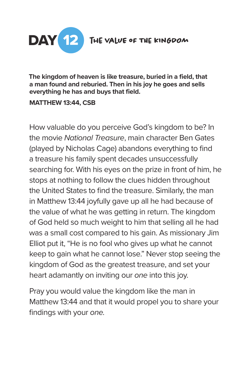

DAY 12 THE VALUE OF THE KINGDOM

**The kingdom of heaven is like treasure, buried in a field, that a man found and reburied. Then in his joy he goes and sells everything he has and buys that field.** 

#### **MATTHEW 13:44, CSB**

How valuable do you perceive God's kingdom to be? In the movie *National Treasure*, main character Ben Gates (played by Nicholas Cage) abandons everything to find a treasure his family spent decades unsuccessfully searching for. With his eyes on the prize in front of him, he stops at nothing to follow the clues hidden throughout the United States to find the treasure. Similarly, the man in Matthew 13:44 joyfully gave up all he had because of the value of what he was getting in return. The kingdom of God held so much weight to him that selling all he had was a small cost compared to his gain. As missionary Jim Elliot put it, "He is no fool who gives up what he cannot keep to gain what he cannot lose." Never stop seeing the kingdom of God as the greatest treasure, and set your heart adamantly on inviting our *one* into this joy.

Pray you would value the kingdom like the man in Matthew 13:44 and that it would propel you to share your findings with your *one.*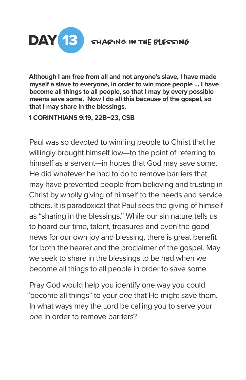

DAY 13 **ShaRing IN THe blEsSinG**

**Although I am free from all and not anyone's slave, I have made myself a slave to everyone, in order to win more people … I have become all things to all people, so that I may by every possible means save some. Now I do all this because of the gospel, so that I may share in the blessings.** 

#### **1 CORINTHIANS 9:19, 22B–23, CSB**

Paul was so devoted to winning people to Christ that he willingly brought himself low—to the point of referring to himself as a servant—in hopes that God may save some. He did whatever he had to do to remove barriers that may have prevented people from believing and trusting in Christ by wholly giving of himself to the needs and service others. It is paradoxical that Paul sees the giving of himself as "sharing in the blessings." While our sin nature tells us to hoard our time, talent, treasures and even the good news for our own joy and blessing, there is great benefit for both the hearer and the proclaimer of the gospel. May we seek to share in the blessings to be had when we become all things to all people in order to save some.

Pray God would help you identify one way you could "become all things" to your *one* that He might save them. In what ways may the Lord be calling you to serve your *one* in order to remove barriers?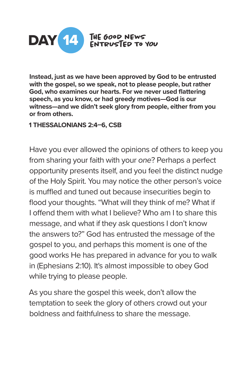

**Instead, just as we have been approved by God to be entrusted with the gospel, so we speak, not to please people, but rather God, who examines our hearts. For we never used flattering speech, as you know, or had greedy motives—God is our witness—and we didn't seek glory from people, either from you or from others.**

#### **1 THESSALONIANS 2:4–6, CSB**

Have you ever allowed the opinions of others to keep you from sharing your faith with your *one*? Perhaps a perfect opportunity presents itself, and you feel the distinct nudge of the Holy Spirit. You may notice the other person's voice is muffled and tuned out because insecurities begin to flood your thoughts. "What will they think of me? What if I offend them with what I believe? Who am I to share this message, and what if they ask questions I don't know the answers to?" God has entrusted the message of the gospel to you, and perhaps this moment is one of the good works He has prepared in advance for you to walk in (Ephesians 2:10). It's almost impossible to obey God while trying to please people.

As you share the gospel this week, don't allow the temptation to seek the glory of others crowd out your boldness and faithfulness to share the message.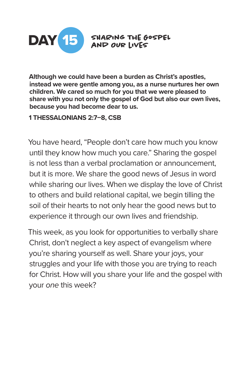

DAY **SHARing The GospEL** 15 **and Our lives**

**Although we could have been a burden as Christ's apostles, instead we were gentle among you, as a nurse nurtures her own children. We cared so much for you that we were pleased to share with you not only the gospel of God but also our own lives, because you had become dear to us.** 

#### **1 THESSALONIANS 2:7–8, CSB**

You have heard, "People don't care how much you know until they know how much you care." Sharing the gospel is not less than a verbal proclamation or announcement, but it is more. We share the good news of Jesus in word while sharing our lives. When we display the love of Christ to others and build relational capital, we begin tilling the soil of their hearts to not only hear the good news but to experience it through our own lives and friendship.

This week, as you look for opportunities to verbally share Christ, don't neglect a key aspect of evangelism where you're sharing yourself as well. Share your joys, your struggles and your life with those you are trying to reach for Christ. How will you share your life and the gospel with your *one* this week?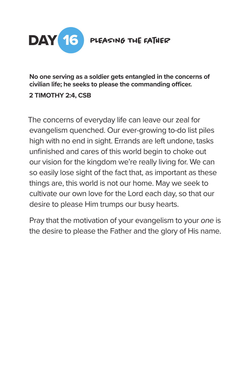

**No one serving as a soldier gets entangled in the concerns of civilian life; he seeks to please the commanding officer.**

### **2 TIMOTHY 2:4, CSB**

The concerns of everyday life can leave our zeal for evangelism quenched. Our ever-growing to-do list piles high with no end in sight. Errands are left undone, tasks unfinished and cares of this world begin to choke out our vision for the kingdom we're really living for. We can so easily lose sight of the fact that, as important as these things are, this world is not our home. May we seek to cultivate our own love for the Lord each day, so that our desire to please Him trumps our busy hearts.

Pray that the motivation of your evangelism to your *one* is the desire to please the Father and the glory of His name.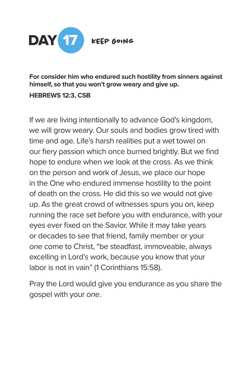

**For consider him who endured such hostility from sinners against himself, so that you won't grow weary and give up.** 

### **HEBREWS 12:3, CSB**

If we are living intentionally to advance God's kingdom, we will grow weary. Our souls and bodies grow tired with time and age. Life's harsh realities put a wet towel on our fiery passion which once burned brightly. But we find hope to endure when we look at the cross. As we think on the person and work of Jesus, we place our hope in the One who endured immense hostility to the point of death on the cross. He did this so we would not give up. As the great crowd of witnesses spurs you on, keep running the race set before you with endurance, with your eyes ever fixed on the Savior. While it may take years or decades to see that friend, family member or your *one* come to Christ, "be steadfast, immoveable, always excelling in Lord's work, because you know that your labor is not in vain" (1 Corinthians 15:58).

Pray the Lord would give you endurance as you share the gospel with your *one*.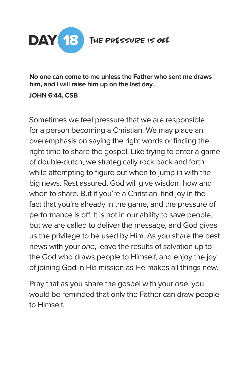

**No one can come to me unless the Father who sent me draws him, and I will raise him up on the last day.** 

#### **JOHN 6:44, CSB**

Sometimes we feel pressure that we are responsible for a person becoming a Christian. We may place an overemphasis on saying the right words or finding the right time to share the gospel. Like trying to enter a game of double-dutch, we strategically rock back and forth while attempting to figure out when to jump in with the big news. Rest assured, God will give wisdom how and when to share. But if you're a Christian, find joy in the fact that you're already in the game, and the pressure of performance is off. It is not in our ability to save people, but we are called to deliver the message, and God gives us the privilege to be used by Him. As you share the best news with your *one*, leave the results of salvation up to the God who draws people to Himself, and enjoy the joy of joining God in His mission as He makes all things new.

Pray that as you share the gospel with your *one*, you would be reminded that only the Father can draw people to Himself.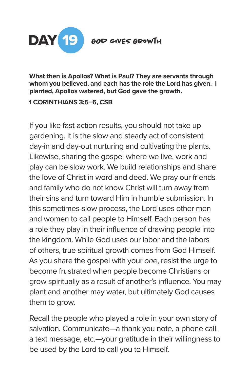

**What then is Apollos? What is Paul? They are servants through whom you believed, and each has the role the Lord has given. I planted, Apollos watered, but God gave the growth.** 

#### **1 CORINTHIANS 3:5–6, CSB**

If you like fast-action results, you should not take up gardening. It is the slow and steady act of consistent day-in and day-out nurturing and cultivating the plants. Likewise, sharing the gospel where we live, work and play can be slow work. We build relationships and share the love of Christ in word and deed. We pray our friends and family who do not know Christ will turn away from their sins and turn toward Him in humble submission. In this sometimes-slow process, the Lord uses other men and women to call people to Himself. Each person has a role they play in their influence of drawing people into the kingdom. While God uses our labor and the labors of others, true spiritual growth comes from God Himself. As you share the gospel with your *one*, resist the urge to become frustrated when people become Christians or grow spiritually as a result of another's influence. You may plant and another may water, but ultimately God causes them to grow.

Recall the people who played a role in your own story of salvation. Communicate—a thank you note, a phone call, a text message, etc.—your gratitude in their willingness to be used by the Lord to call you to Himself.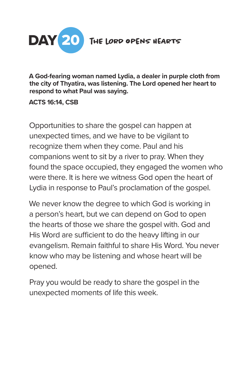

**A God-fearing woman named Lydia, a dealer in purple cloth from the city of Thyatira, was listening. The Lord opened her heart to respond to what Paul was saying.** 

### **ACTS 16:14, CSB**

Opportunities to share the gospel can happen at unexpected times, and we have to be vigilant to recognize them when they come. Paul and his companions went to sit by a river to pray. When they found the space occupied, they engaged the women who were there. It is here we witness God open the heart of Lydia in response to Paul's proclamation of the gospel.

We never know the degree to which God is working in a person's heart, but we can depend on God to open the hearts of those we share the gospel with. God and His Word are sufficient to do the heavy lifting in our evangelism. Remain faithful to share His Word. You never know who may be listening and whose heart will be opened.

Pray you would be ready to share the gospel in the unexpected moments of life this week.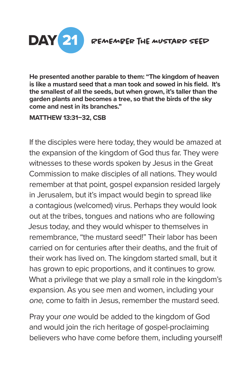

**DAY 21** REMEMBER THE MUSTARD SEED

**He presented another parable to them: "The kingdom of heaven is like a mustard seed that a man took and sowed in his field. It's the smallest of all the seeds, but when grown, it's taller than the garden plants and becomes a tree, so that the birds of the sky come and nest in its branches."** 

#### **MATTHEW 13:31–32, CSB**

If the disciples were here today, they would be amazed at the expansion of the kingdom of God thus far. They were witnesses to these words spoken by Jesus in the Great Commission to make disciples of all nations. They would remember at that point, gospel expansion resided largely in Jerusalem, but it's impact would begin to spread like a contagious (welcomed) virus. Perhaps they would look out at the tribes, tongues and nations who are following Jesus today, and they would whisper to themselves in remembrance, "the mustard seed!" Their labor has been carried on for centuries after their deaths, and the fruit of their work has lived on. The kingdom started small, but it has grown to epic proportions, and it continues to grow. What a privilege that we play a small role in the kingdom's expansion. As you see men and women, including your *one,* come to faith in Jesus, remember the mustard seed.

Pray your *one* would be added to the kingdom of God and would join the rich heritage of gospel-proclaiming believers who have come before them, including yourself!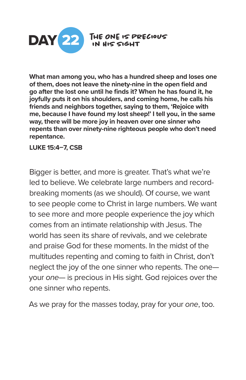

DAY 22 **thE One is PrEcious in His SighT**

**What man among you, who has a hundred sheep and loses one of them, does not leave the ninety-nine in the open field and go after the lost one until he finds it? When he has found it, he joyfully puts it on his shoulders, and coming home, he calls his friends and neighbors together, saying to them, 'Rejoice with me, because I have found my lost sheep!' I tell you, in the same way, there will be more joy in heaven over one sinner who repents than over ninety-nine righteous people who don't need repentance.** 

#### **LUKE 15:4–7, CSB**

Bigger is better, and more is greater. That's what we're led to believe. We celebrate large numbers and recordbreaking moments (as we should). Of course, we want to see people come to Christ in large numbers. We want to see more and more people experience the joy which comes from an intimate relationship with Jesus. The world has seen its share of revivals, and we celebrate and praise God for these moments. In the midst of the multitudes repenting and coming to faith in Christ, don't neglect the joy of the one sinner who repents. The one your *one*— is precious in His sight. God rejoices over the one sinner who repents.

As we pray for the masses today, pray for your *one*, too.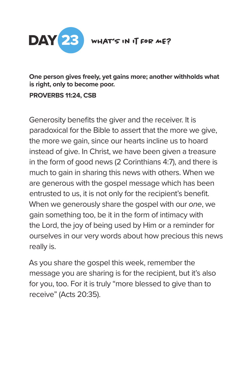

**One person gives freely, yet gains more; another withholds what is right, only to become poor.** 

**PROVERBS 11:24, CSB**

Generosity benefits the giver and the receiver. It is paradoxical for the Bible to assert that the more we give, the more we gain, since our hearts incline us to hoard instead of give. In Christ, we have been given a treasure in the form of good news (2 Corinthians 4:7), and there is much to gain in sharing this news with others. When we are generous with the gospel message which has been entrusted to us, it is not only for the recipient's benefit. When we generously share the gospel with our *one*, we gain something too, be it in the form of intimacy with the Lord, the joy of being used by Him or a reminder for ourselves in our very words about how precious this news really is.

As you share the gospel this week, remember the message you are sharing is for the recipient, but it's also for you, too. For it is truly "more blessed to give than to receive" (Acts 20:35).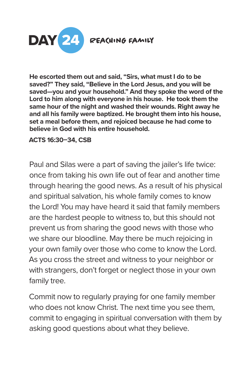

**He escorted them out and said, "Sirs, what must I do to be saved?" They said, "Believe in the Lord Jesus, and you will be saved—you and your household." And they spoke the word of the Lord to him along with everyone in his house. He took them the same hour of the night and washed their wounds. Right away he and all his family were baptized. He brought them into his house, set a meal before them, and rejoiced because he had come to believe in God with his entire household.** 

**ACTS 16:30–34, CSB**

Paul and Silas were a part of saving the jailer's life twice: once from taking his own life out of fear and another time through hearing the good news. As a result of his physical and spiritual salvation, his whole family comes to know the Lord! You may have heard it said that family members are the hardest people to witness to, but this should not prevent us from sharing the good news with those who we share our bloodline. May there be much rejoicing in your own family over those who come to know the Lord. As you cross the street and witness to your neighbor or with strangers, don't forget or neglect those in your own family tree.

Commit now to regularly praying for one family member who does not know Christ. The next time you see them, commit to engaging in spiritual conversation with them by asking good questions about what they believe.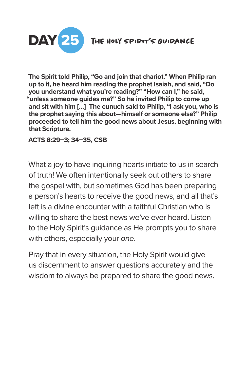

DAY 25 THE HOLY SPIRIT'S GUIDANCE

**The Spirit told Philip, "Go and join that chariot." When Philip ran up to it, he heard him reading the prophet Isaiah, and said, "Do you understand what you're reading?" "How can I," he said, "unless someone guides me?" So he invited Philip to come up and sit with him […] The eunuch said to Philip, "I ask you, who is the prophet saying this about—himself or someone else?" Philip proceeded to tell him the good news about Jesus, beginning with that Scripture.** 

**ACTS 8:29–3; 34–35, CSB**

What a joy to have inquiring hearts initiate to us in search of truth! We often intentionally seek out others to share the gospel with, but sometimes God has been preparing a person's hearts to receive the good news, and all that's left is a divine encounter with a faithful Christian who is willing to share the best news we've ever heard. Listen to the Holy Spirit's guidance as He prompts you to share with others, especially your *one*.

Pray that in every situation, the Holy Spirit would give us discernment to answer questions accurately and the wisdom to always be prepared to share the good news.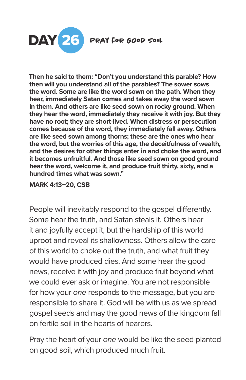

**Then he said to them: "Don't you understand this parable? How then will you understand all of the parables? The sower sows the word. Some are like the word sown on the path. When they hear, immediately Satan comes and takes away the word sown in them. And others are like seed sown on rocky ground. When they hear the word, immediately they receive it with joy. But they have no root; they are short-lived. When distress or persecution comes because of the word, they immediately fall away. Others are like seed sown among thorns; these are the ones who hear the word, but the worries of this age, the deceitfulness of wealth, and the desires for other things enter in and choke the word, and it becomes unfruitful. And those like seed sown on good ground hear the word, welcome it, and produce fruit thirty, sixty, and a hundred times what was sown."** 

#### **MARK 4:13–20, CSB**

People will inevitably respond to the gospel differently. Some hear the truth, and Satan steals it. Others hear it and joyfully accept it, but the hardship of this world uproot and reveal its shallowness. Others allow the care of this world to choke out the truth, and what fruit they would have produced dies. And some hear the good news, receive it with joy and produce fruit beyond what we could ever ask or imagine. You are not responsible for how your *one* responds to the message, but you are responsible to share it. God will be with us as we spread gospel seeds and may the good news of the kingdom fall on fertile soil in the hearts of hearers.

Pray the heart of your *one* would be like the seed planted on good soil, which produced much fruit.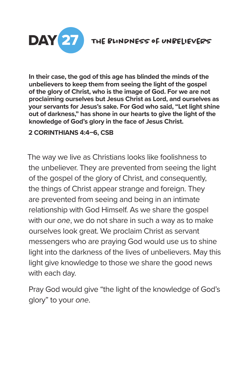

# DAY 27 **The BLinDnEss of UnBElIEveRs**

**In their case, the god of this age has blinded the minds of the unbelievers to keep them from seeing the light of the gospel of the glory of Christ, who is the image of God. For we are not proclaiming ourselves but Jesus Christ as Lord, and ourselves as your servants for Jesus's sake. For God who said, "Let light shine out of darkness," has shone in our hearts to give the light of the knowledge of God's glory in the face of Jesus Christ.** 

#### **2 CORINTHIANS 4:4–6, CSB**

The way we live as Christians looks like foolishness to the unbeliever. They are prevented from seeing the light of the gospel of the glory of Christ, and consequently, the things of Christ appear strange and foreign. They are prevented from seeing and being in an intimate relationship with God Himself. As we share the gospel with our *one*, we do not share in such a way as to make ourselves look great. We proclaim Christ as servant messengers who are praying God would use us to shine light into the darkness of the lives of unbelievers. May this light give knowledge to those we share the good news with each day.

Pray God would give "the light of the knowledge of God's glory" to your *one*.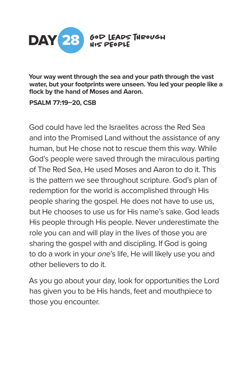

**Your way went through the sea and your path through the vast water, but your footprints were unseen. You led your people like a flock by the hand of Moses and Aaron.**

**PSALM 77:19–20, CSB**

God could have led the Israelites across the Red Sea and into the Promised Land without the assistance of any human, but He chose not to rescue them this way. While God's people were saved through the miraculous parting of The Red Sea, He used Moses and Aaron to do it. This is the pattern we see throughout scripture. God's plan of redemption for the world is accomplished through His people sharing the gospel. He does not have to use us, but He chooses to use us for His name's sake. God leads His people through His people. Never underestimate the role you can and will play in the lives of those you are sharing the gospel with and discipling. If God is going to do a work in your *one*'s life, He will likely use you and other believers to do it.

As you go about your day, look for opportunities the Lord has given you to be His hands, feet and mouthpiece to those you encounter.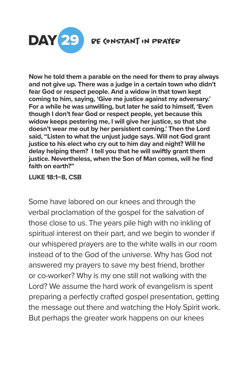

**Now he told them a parable on the need for them to pray always and not give up. There was a judge in a certain town who didn't fear God or respect people. And a widow in that town kept coming to him, saying, 'Give me justice against my adversary.' For a while he was unwilling, but later he said to himself, 'Even though I don't fear God or respect people, yet because this widow keeps pestering me, I will give her justice, so that she doesn't wear me out by her persistent coming.' Then the Lord said, "Listen to what the unjust judge says. Will not God grant justice to his elect who cry out to him day and night? Will he delay helping them? I tell you that he will swiftly grant them justice. Nevertheless, when the Son of Man comes, will he find faith on earth?"** 

#### **LUKE 18:1–8, CSB**

Some have labored on our knees and through the verbal proclamation of the gospel for the salvation of those close to us. The years pile high with no inkling of spiritual interest on their part, and we begin to wonder if our whispered prayers are to the white walls in our room instead of to the God of the universe. Why has God not answered my prayers to save my best friend, brother or co-worker? Why is my one still not walking with the Lord? We assume the hard work of evangelism is spent preparing a perfectly crafted gospel presentation, getting the message out there and watching the Holy Spirit work. But perhaps the greater work happens on our knees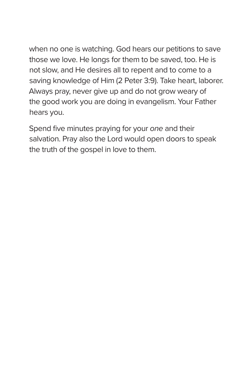when no one is watching. God hears our petitions to save those we love. He longs for them to be saved, too. He is not slow, and He desires all to repent and to come to a saving knowledge of Him (2 Peter 3:9). Take heart, laborer. Always pray, never give up and do not grow weary of the good work you are doing in evangelism. Your Father hears you.

Spend five minutes praying for your *one* and their salvation. Pray also the Lord would open doors to speak the truth of the gospel in love to them.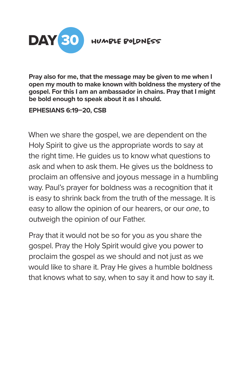

**Pray also for me, that the message may be given to me when I open my mouth to make known with boldness the mystery of the gospel. For this I am an ambassador in chains. Pray that I might be bold enough to speak about it as I should.** 

### **EPHESIANS 6:19–20, CSB**

When we share the gospel, we are dependent on the Holy Spirit to give us the appropriate words to say at the right time. He guides us to know what questions to ask and when to ask them. He gives us the boldness to proclaim an offensive and joyous message in a humbling way. Paul's prayer for boldness was a recognition that it is easy to shrink back from the truth of the message. It is easy to allow the opinion of our hearers, or our *one*, to outweigh the opinion of our Father.

Pray that it would not be so for you as you share the gospel. Pray the Holy Spirit would give you power to proclaim the gospel as we should and not just as we would like to share it. Pray He gives a humble boldness that knows what to say, when to say it and how to say it.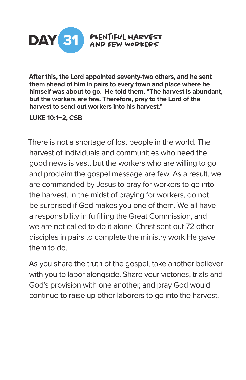

**After this, the Lord appointed seventy-two others, and he sent them ahead of him in pairs to every town and place where he himself was about to go. He told them, "The harvest is abundant, but the workers are few. Therefore, pray to the Lord of the harvest to send out workers into his harvest."**

#### **LUKE 10:1–2, CSB**

There is not a shortage of lost people in the world. The harvest of individuals and communities who need the good news is vast, but the workers who are willing to go and proclaim the gospel message are few. As a result, we are commanded by Jesus to pray for workers to go into the harvest. In the midst of praying for workers, do not be surprised if God makes you one of them. We all have a responsibility in fulfilling the Great Commission, and we are not called to do it alone. Christ sent out 72 other disciples in pairs to complete the ministry work He gave them to do.

As you share the truth of the gospel, take another believer with you to labor alongside. Share your victories, trials and God's provision with one another, and pray God would continue to raise up other laborers to go into the harvest.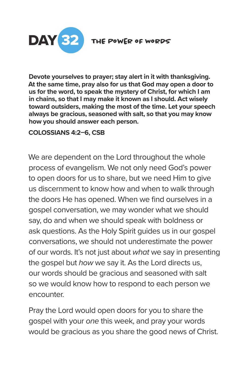

**Devote yourselves to prayer; stay alert in it with thanksgiving. At the same time, pray also for us that God may open a door to us for the word, to speak the mystery of Christ, for which I am in chains, so that I may make it known as I should. Act wisely toward outsiders, making the most of the time. Let your speech always be gracious, seasoned with salt, so that you may know how you should answer each person.** 

**COLOSSIANS 4:2–6, CSB**

We are dependent on the Lord throughout the whole process of evangelism. We not only need God's power to open doors for us to share, but we need Him to give us discernment to know how and when to walk through the doors He has opened. When we find ourselves in a gospel conversation, we may wonder what we should say, do and when we should speak with boldness or ask questions. As the Holy Spirit guides us in our gospel conversations, we should not underestimate the power of our words. It's not just about *what* we say in presenting the gospel but *how* we say it. As the Lord directs us, our words should be gracious and seasoned with salt so we would know how to respond to each person we encounter.

Pray the Lord would open doors for you to share the gospel with your *one* this week, and pray your words would be gracious as you share the good news of Christ.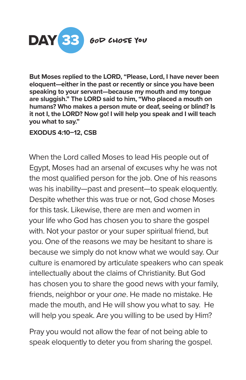

**But Moses replied to the LORD, "Please, Lord, I have never been eloquent—either in the past or recently or since you have been speaking to your servant—because my mouth and my tongue are sluggish." The LORD said to him, "Who placed a mouth on humans? Who makes a person mute or deaf, seeing or blind? Is it not I, the LORD? Now go! I will help you speak and I will teach you what to say."**

**EXODUS 4:10–12, CSB**

When the Lord called Moses to lead His people out of Egypt, Moses had an arsenal of excuses why he was not the most qualified person for the job. One of his reasons was his inability—past and present—to speak eloquently. Despite whether this was true or not, God chose Moses for this task. Likewise, there are men and women in your life who God has chosen you to share the gospel with. Not your pastor or your super spiritual friend, but you. One of the reasons we may be hesitant to share is because we simply do not know what we would say. Our culture is enamored by articulate speakers who can speak intellectually about the claims of Christianity. But God has chosen you to share the good news with your family, friends, neighbor or your *one*. He made no mistake. He made the mouth, and He will show you what to say. He will help you speak. Are you willing to be used by Him?

Pray you would not allow the fear of not being able to speak eloquently to deter you from sharing the gospel.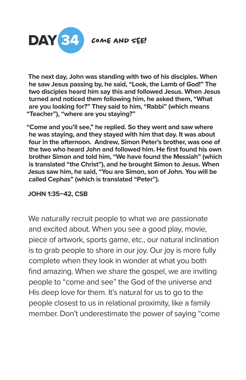

**The next day, John was standing with two of his disciples. When he saw Jesus passing by, he said, "Look, the Lamb of God!" The two disciples heard him say this and followed Jesus. When Jesus turned and noticed them following him, he asked them, "What are you looking for?" They said to him, "Rabbi" (which means "Teacher"), "where are you staying?"**

**"Come and you'll see," he replied. So they went and saw where he was staying, and they stayed with him that day. It was about four in the afternoon. Andrew, Simon Peter's brother, was one of the two who heard John and followed him. He first found his own brother Simon and told him, "We have found the Messiah" (which is translated "the Christ"), and he brought Simon to Jesus. When Jesus saw him, he said, "You are Simon, son of John. You will be called Cephas" (which is translated "Peter").**

#### **JOHN 1:35–42, CSB**

We naturally recruit people to what we are passionate and excited about. When you see a good play, movie, piece of artwork, sports game, etc., our natural inclination is to grab people to share in our joy. Our joy is more fully complete when they look in wonder at what you both find amazing. When we share the gospel, we are inviting people to "come and see" the God of the universe and His deep love for them. It's natural for us to go to the people closest to us in relational proximity, like a family member. Don't underestimate the power of saying "come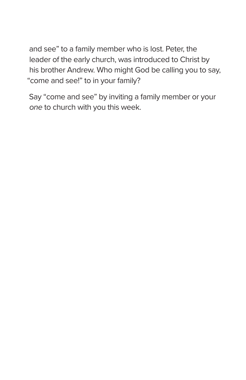and see" to a family member who is lost. Peter, the leader of the early church, was introduced to Christ by his brother Andrew. Who might God be calling you to say, "come and see!" to in your family?

Say "come and see" by inviting a family member or your *one* to church with you this week.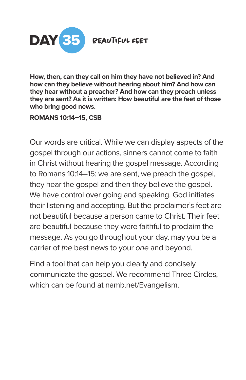

**How, then, can they call on him they have not believed in? And how can they believe without hearing about him? And how can they hear without a preacher? And how can they preach unless they are sent? As it is written: How beautiful are the feet of those who bring good news.** 

#### **ROMANS 10:14–15, CSB**

Our words are critical. While we can display aspects of the gospel through our actions, sinners cannot come to faith in Christ without hearing the gospel message. According to Romans 10:14–15: we are sent, we preach the gospel, they hear the gospel and then they believe the gospel. We have control over going and speaking. God initiates their listening and accepting. But the proclaimer's feet are not beautiful because a person came to Christ. Their feet are beautiful because they were faithful to proclaim the message. As you go throughout your day, may you be a carrier of *the* best news to your *one* and beyond.

Find a tool that can help you clearly and concisely communicate the gospel. We recommend Three Circles, which can be found at namb.net/Evangelism.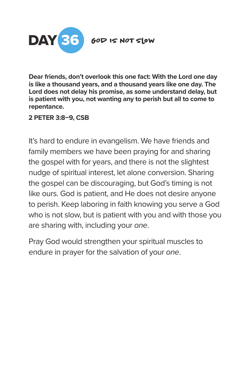

**Dear friends, don't overlook this one fact: With the Lord one day is like a thousand years, and a thousand years like one day. The Lord does not delay his promise, as some understand delay, but is patient with you, not wanting any to perish but all to come to repentance.** 

#### **2 PETER 3:8–9, CSB**

It's hard to endure in evangelism. We have friends and family members we have been praying for and sharing the gospel with for years, and there is not the slightest nudge of spiritual interest, let alone conversion. Sharing the gospel can be discouraging, but God's timing is not like ours. God is patient, and He does not desire anyone to perish. Keep laboring in faith knowing you serve a God who is not slow, but is patient with you and with those you are sharing with, including your *one*.

Pray God would strengthen your spiritual muscles to endure in prayer for the salvation of your *one*.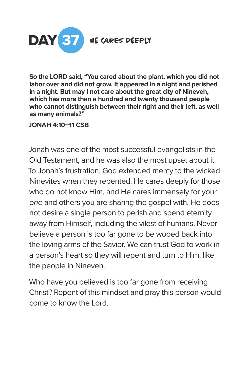

**So the LORD said, "You cared about the plant, which you did not labor over and did not grow. It appeared in a night and perished in a night. But may I not care about the great city of Nineveh, which has more than a hundred and twenty thousand people who cannot distinguish between their right and their left, as well as many animals?"**

#### **JONAH 4:10–11 CSB**

Jonah was one of the most successful evangelists in the Old Testament, and he was also the most upset about it. To Jonah's frustration, God extended mercy to the wicked Ninevites when they repented. He cares deeply for those who do not know Him, and He cares immensely for your *one* and others you are sharing the gospel with. He does not desire a single person to perish and spend eternity away from Himself, including the vilest of humans. Never believe a person is too far gone to be wooed back into the loving arms of the Savior. We can trust God to work in a person's heart so they will repent and turn to Him, like the people in Nineveh.

Who have you believed is too far gone from receiving Christ? Repent of this mindset and pray this person would come to know the Lord.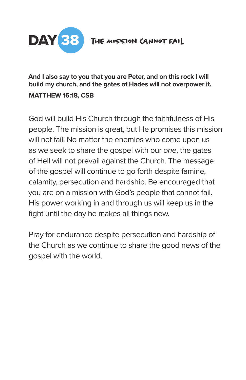

**And I also say to you that you are Peter, and on this rock I will build my church, and the gates of Hades will not overpower it. MATTHEW 16:18, CSB**

God will build His Church through the faithfulness of His people. The mission is great, but He promises this mission will not fail! No matter the enemies who come upon us as we seek to share the gospel with our *one*, the gates of Hell will not prevail against the Church. The message of the gospel will continue to go forth despite famine, calamity, persecution and hardship. Be encouraged that you are on a mission with God's people that cannot fail. His power working in and through us will keep us in the fight until the day he makes all things new.

Pray for endurance despite persecution and hardship of the Church as we continue to share the good news of the gospel with the world.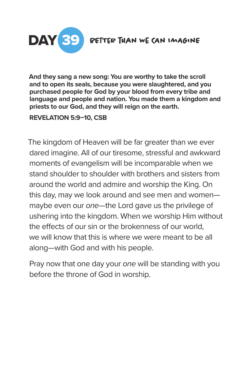

DAY 39 **BETTER THAN WE CAN IMAGINE** 

**And they sang a new song: You are worthy to take the scroll and to open its seals, because you were slaughtered, and you purchased people for God by your blood from every tribe and language and people and nation. You made them a kingdom and priests to our God, and they will reign on the earth.**

#### **REVELATION 5:9–10, CSB**

The kingdom of Heaven will be far greater than we ever dared imagine. All of our tiresome, stressful and awkward moments of evangelism will be incomparable when we stand shoulder to shoulder with brothers and sisters from around the world and admire and worship the King. On this day, may we look around and see men and women maybe even our *one*—the Lord gave us the privilege of ushering into the kingdom. When we worship Him without the effects of our sin or the brokenness of our world, we will know that this is where we were meant to be all along—with God and with his people.

Pray now that one day your *one* will be standing with you before the throne of God in worship.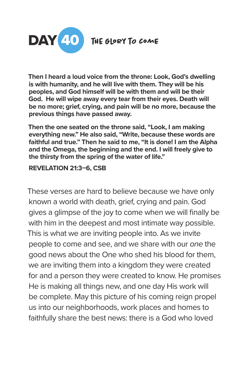

**Then I heard a loud voice from the throne: Look, God's dwelling is with humanity, and he will live with them. They will be his peoples, and God himself will be with them and will be their God. He will wipe away every tear from their eyes. Death will be no more; grief, crying, and pain will be no more, because the previous things have passed away.**

**Then the one seated on the throne said, "Look, I am making everything new." He also said, "Write, because these words are faithful and true." Then he said to me, "It is done! I am the Alpha and the Omega, the beginning and the end. I will freely give to the thirsty from the spring of the water of life."** 

#### **REVELATION 21:3–6, CSB**

These verses are hard to believe because we have only known a world with death, grief, crying and pain. God gives a glimpse of the joy to come when we will finally be with him in the deepest and most intimate way possible. This is what we are inviting people into. As we invite people to come and see, and we share with our *one* the good news about the One who shed his blood for them, we are inviting them into a kingdom they were created for and a person they were created to know. He promises He is making all things new, and one day His work will be complete. May this picture of his coming reign propel us into our neighborhoods, work places and homes to faithfully share the best news: there is a God who loved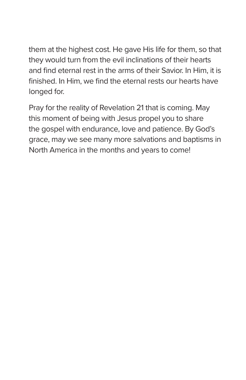them at the highest cost. He gave His life for them, so that they would turn from the evil inclinations of their hearts and find eternal rest in the arms of their Savior. In Him, it is finished. In Him, we find the eternal rests our hearts have longed for.

Pray for the reality of Revelation 21 that is coming. May this moment of being with Jesus propel you to share the gospel with endurance, love and patience. By God's grace, may we see many more salvations and baptisms in North America in the months and years to come!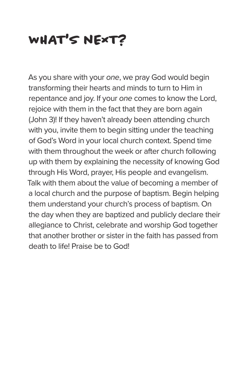# **WHAT'S nEXT?**

As you share with your *one*, we pray God would begin transforming their hearts and minds to turn to Him in repentance and joy. If your *one* comes to know the Lord, rejoice with them in the fact that they are born again (John 3)! If they haven't already been attending church with you, invite them to begin sitting under the teaching of God's Word in your local church context. Spend time with them throughout the week or after church following up with them by explaining the necessity of knowing God through His Word, prayer, His people and evangelism. Talk with them about the value of becoming a member of a local church and the purpose of baptism. Begin helping them understand your church's process of baptism. On the day when they are baptized and publicly declare their allegiance to Christ, celebrate and worship God together that another brother or sister in the faith has passed from death to life! Praise be to God!